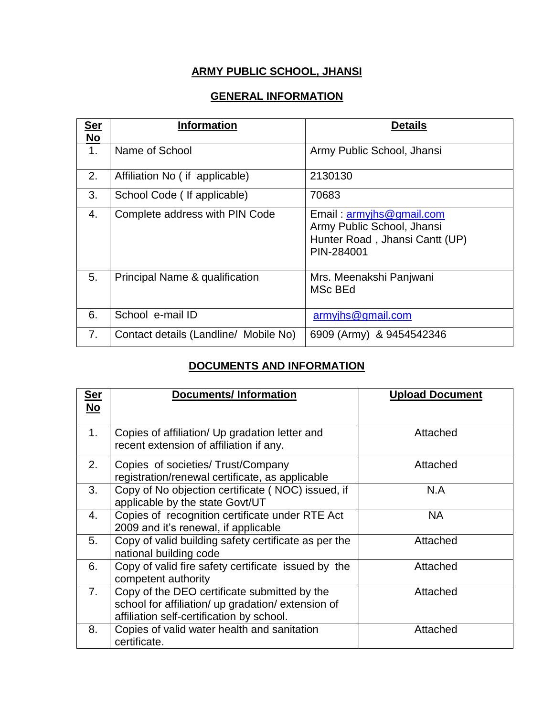## **ARMY PUBLIC SCHOOL, JHANSI**

## **GENERAL INFORMATION**

| <b>Ser</b><br><b>No</b> | <b>Information</b>                    | <b>Details</b>                                                                                         |
|-------------------------|---------------------------------------|--------------------------------------------------------------------------------------------------------|
| 1.                      | Name of School                        | Army Public School, Jhansi                                                                             |
| 2.                      | Affiliation No (if applicable)        | 2130130                                                                                                |
| 3.                      | School Code (If applicable)           | 70683                                                                                                  |
| 4.                      | Complete address with PIN Code        | Email: armyjhs@gmail.com<br>Army Public School, Jhansi<br>Hunter Road, Jhansi Cantt (UP)<br>PIN-284001 |
| 5.                      | Principal Name & qualification        | Mrs. Meenakshi Panjwani<br>MSc BEd                                                                     |
| 6.                      | School e-mail ID                      | armyjhs@gmail.com                                                                                      |
| 7.                      | Contact details (Landline/ Mobile No) | 6909 (Army) & 9454542346                                                                               |

## **DOCUMENTS AND INFORMATION**

| <b>Ser</b>     | <b>Documents/Information</b>                                                                                                                    | <b>Upload Document</b> |
|----------------|-------------------------------------------------------------------------------------------------------------------------------------------------|------------------------|
| No             |                                                                                                                                                 |                        |
| 1 <sub>1</sub> | Copies of affiliation/ Up gradation letter and<br>recent extension of affiliation if any.                                                       | Attached               |
| 2.             | Copies of societies/Trust/Company<br>registration/renewal certificate, as applicable                                                            | Attached               |
| 3 <sub>1</sub> | Copy of No objection certificate (NOC) issued, if<br>applicable by the state Govt/UT                                                            | N.A                    |
| 4.             | Copies of recognition certificate under RTE Act<br>2009 and it's renewal, if applicable                                                         | <b>NA</b>              |
| 5.             | Copy of valid building safety certificate as per the<br>national building code                                                                  | Attached               |
| 6.             | Copy of valid fire safety certificate issued by the<br>competent authority                                                                      | Attached               |
| 7 <sub>1</sub> | Copy of the DEO certificate submitted by the<br>school for affiliation/ up gradation/ extension of<br>affiliation self-certification by school. | Attached               |
| 8.             | Copies of valid water health and sanitation<br>certificate.                                                                                     | Attached               |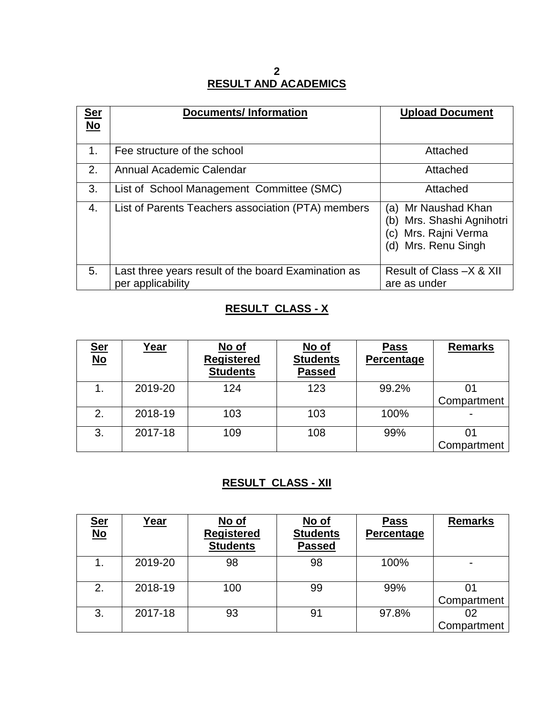#### **2 RESULT AND ACADEMICS**

| <u>Ser</u>  | <b>Documents/Information</b>                        | <b>Upload Document</b>                                                                                      |
|-------------|-----------------------------------------------------|-------------------------------------------------------------------------------------------------------------|
| No          |                                                     |                                                                                                             |
| $1_{\cdot}$ | Fee structure of the school                         | Attached                                                                                                    |
| 2.          | Annual Academic Calendar                            | Attached                                                                                                    |
| 3.          | List of School Management Committee (SMC)           | Attached                                                                                                    |
| 4.          | List of Parents Teachers association (PTA) members  | Mr Naushad Khan<br>(a)<br>Mrs. Shashi Agnihotri<br>(b)<br>Mrs. Rajni Verma<br>(C)<br>Mrs. Renu Singh<br>(d) |
| 5.          | Last three years result of the board Examination as | Result of Class -X & XII                                                                                    |
|             | per applicability                                   | are as under                                                                                                |

### **RESULT CLASS - X**

| <u>Ser</u><br><u>No</u> | <u>Year</u> | No of             | No of           | <b>Pass</b> | <b>Remarks</b> |
|-------------------------|-------------|-------------------|-----------------|-------------|----------------|
|                         |             | <b>Registered</b> | <b>Students</b> | Percentage  |                |
|                         |             | <b>Students</b>   | <b>Passed</b>   |             |                |
| 1.                      | 2019-20     | 124               | 123             | 99.2%       | 01             |
|                         |             |                   |                 |             | Compartment    |
| 2.                      | 2018-19     | 103               | 103             | 100%        |                |
| 3.                      | 2017-18     | 109               | 108             | 99%         | 01             |
|                         |             |                   |                 |             | Compartment    |

## **RESULT CLASS - XII**

| <u>Ser</u><br><u>No</u> | <u>Year</u> | No of<br><b>Registered</b><br><b>Students</b> | <u>No of</u><br><b>Students</b><br><b>Passed</b> | <b>Pass</b><br>Percentage | <b>Remarks</b>    |
|-------------------------|-------------|-----------------------------------------------|--------------------------------------------------|---------------------------|-------------------|
|                         | 2019-20     | 98                                            | 98                                               | 100%                      |                   |
| 2.                      | 2018-19     | 100                                           | 99                                               | 99%                       | 01<br>Compartment |
| 3.                      | 2017-18     | 93                                            | 91                                               | 97.8%                     | 02<br>Compartment |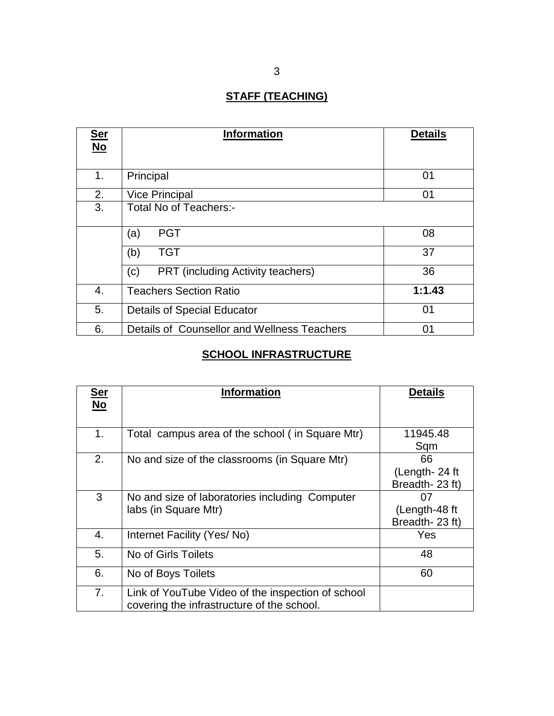# **STAFF (TEACHING)**

| <u>Ser</u> | <b>Information</b>                                | <b>Details</b> |
|------------|---------------------------------------------------|----------------|
| $No$       |                                                   |                |
| 1.         | Principal                                         | 01             |
| 2.         | <b>Vice Principal</b>                             | 01             |
| 3.         | Total No of Teachers:-                            |                |
|            | <b>PGT</b><br>(a)                                 | 08             |
|            | <b>TGT</b><br>(b)                                 | 37             |
|            | <b>PRT</b> (including Activity teachers)<br>(c)   | 36             |
| 4.         | <b>Teachers Section Ratio</b>                     | 1:1.43         |
| 5.         | <b>Details of Special Educator</b><br>01          |                |
| 6.         | Details of Counsellor and Wellness Teachers<br>01 |                |

# **SCHOOL INFRASTRUCTURE**

| <u>Ser</u><br>$No$ | <b>Information</b>                                | <b>Details</b> |
|--------------------|---------------------------------------------------|----------------|
|                    |                                                   |                |
| 1.                 | Total campus area of the school (in Square Mtr)   | 11945.48       |
|                    |                                                   | Sqm            |
| 2.                 | No and size of the classrooms (in Square Mtr)     | 66             |
|                    |                                                   | (Length-24 ft  |
|                    |                                                   | Breadth-23 ft) |
| 3                  | No and size of laboratories including Computer    | 07             |
|                    | labs (in Square Mtr)                              | (Length-48 ft) |
|                    |                                                   | Breadth-23 ft) |
| 4.                 | Internet Facility (Yes/No)                        | Yes            |
| 5.                 | No of Girls Toilets                               | 48             |
| 6.                 | No of Boys Toilets                                | 60             |
| 7.                 | Link of YouTube Video of the inspection of school |                |
|                    | covering the infrastructure of the school.        |                |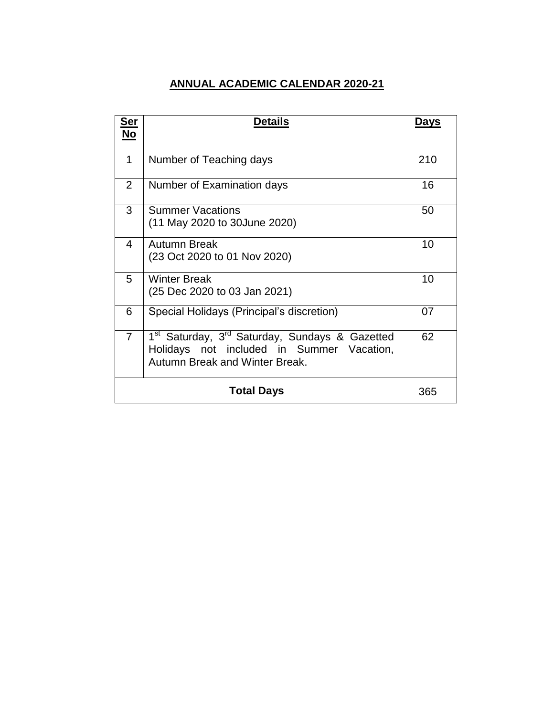### **ANNUAL ACADEMIC CALENDAR 2020-21**

| Ser<br>No      | <b>Details</b>                                                                                                                                        | Days |
|----------------|-------------------------------------------------------------------------------------------------------------------------------------------------------|------|
|                |                                                                                                                                                       |      |
| 1              | Number of Teaching days                                                                                                                               | 210  |
| $\overline{2}$ | Number of Examination days                                                                                                                            | 16   |
| 3              | <b>Summer Vacations</b><br>(11 May 2020 to 30June 2020)                                                                                               | 50   |
| 4              | Autumn Break<br>(23 Oct 2020 to 01 Nov 2020)                                                                                                          | 10   |
| 5              | <b>Winter Break</b><br>(25 Dec 2020 to 03 Jan 2021)                                                                                                   | 10   |
| 6              | Special Holidays (Principal's discretion)                                                                                                             | 07   |
| $\overline{7}$ | 1 <sup>st</sup> Saturday, 3 <sup>rd</sup> Saturday, Sundays & Gazetted<br>Holidays not included in Summer Vacation,<br>Autumn Break and Winter Break. | 62   |
|                | Total Days                                                                                                                                            | 365  |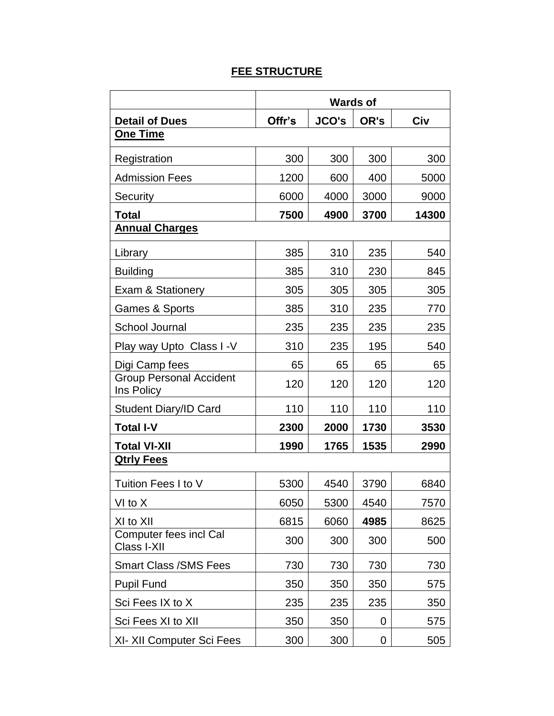## **FEE STRUCTURE**

|                                              | <b>Wards of</b> |              |      |       |
|----------------------------------------------|-----------------|--------------|------|-------|
| <b>Detail of Dues</b>                        | Offr's          | <b>JCO's</b> | OR's | Civ   |
| <b>One Time</b>                              |                 |              |      |       |
| Registration                                 | 300             | 300          | 300  | 300   |
| <b>Admission Fees</b>                        | 1200            | 600          | 400  | 5000  |
| Security                                     | 6000            | 4000         | 3000 | 9000  |
| <b>Total</b>                                 | 7500            | 4900         | 3700 | 14300 |
| <b>Annual Charges</b>                        |                 |              |      |       |
| Library                                      | 385             | 310          | 235  | 540   |
| <b>Building</b>                              | 385             | 310          | 230  | 845   |
| <b>Exam &amp; Stationery</b>                 | 305             | 305          | 305  | 305   |
| <b>Games &amp; Sports</b>                    | 385             | 310          | 235  | 770   |
| <b>School Journal</b>                        | 235             | 235          | 235  | 235   |
| Play way Upto Class I -V                     | 310             | 235          | 195  | 540   |
| Digi Camp fees                               | 65              | 65           | 65   | 65    |
| <b>Group Personal Accident</b><br>Ins Policy | 120             | 120          | 120  | 120   |
| <b>Student Diary/ID Card</b>                 | 110             | 110          | 110  | 110   |
| <b>Total I-V</b>                             | 2300            | 2000         | 1730 | 3530  |
| <b>Total VI-XII</b>                          | 1990            | 1765         | 1535 | 2990  |
| <b>Qtrly Fees</b>                            |                 |              |      |       |
| Tuition Fees I to V                          | 5300            | 4540         | 3790 | 6840  |
| VI to X                                      | 6050            | 5300         | 4540 | 7570  |
| XI to XII                                    | 6815            | 6060         | 4985 | 8625  |
| <b>Computer fees incl Cal</b><br>Class I-XII | 300             | 300          | 300  | 500   |
| <b>Smart Class / SMS Fees</b>                | 730             | 730          | 730  | 730   |
| <b>Pupil Fund</b>                            | 350             | 350          | 350  | 575   |
| Sci Fees IX to X                             | 235             | 235          | 235  | 350   |
| Sci Fees XI to XII                           | 350             | 350          | 0    | 575   |
| XI-XII Computer Sci Fees                     | 300             | 300          | 0    | 505   |